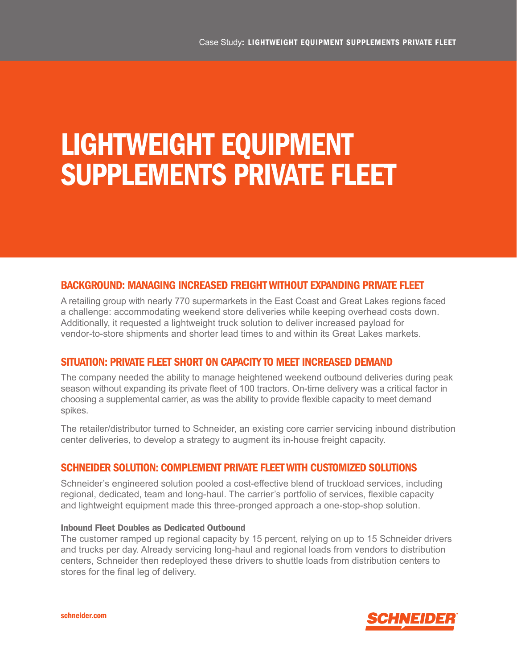# LIGHTWEIGHT EQUIPMENT SUPPLEMENTS PRIVATE FLEET

## BACKGROUND: MANAGING INCREASED FREIGHT WITHOUT EXPANDING PRIVATE FLEET

A retailing group with nearly 770 supermarkets in the East Coast and Great Lakes regions faced a challenge: accommodating weekend store deliveries while keeping overhead costs down. Additionally, it requested a lightweight truck solution to deliver increased payload for vendor-to-store shipments and shorter lead times to and within its Great Lakes markets.

## SITUATION: PRIVATE FLEET SHORT ON CAPACITY TO MEET INCREASED DEMAND

The company needed the ability to manage heightened weekend outbound deliveries during peak season without expanding its private fleet of 100 tractors. On-time delivery was a critical factor in choosing a supplemental carrier, as was the ability to provide flexible capacity to meet demand spikes.

The retailer/distributor turned to Schneider, an existing core carrier servicing inbound distribution center deliveries, to develop a strategy to augment its in-house freight capacity.

## SCHNEIDER SOLUTION: COMPLEMENT PRIVATE FLEET WITH CUSTOMIZED SOLUTIONS

Schneider's engineered solution pooled a cost-effective blend of truckload services, including regional, dedicated, team and long-haul. The carrier's portfolio of services, flexible capacity and lightweight equipment made this three-pronged approach a one-stop-shop solution.

#### Inbound Fleet Doubles as Dedicated Outbound

The customer ramped up regional capacity by 15 percent, relying on up to 15 Schneider drivers and trucks per day. Already servicing long-haul and regional loads from vendors to distribution centers, Schneider then redeployed these drivers to shuttle loads from distribution centers to stores for the final leg of delivery.